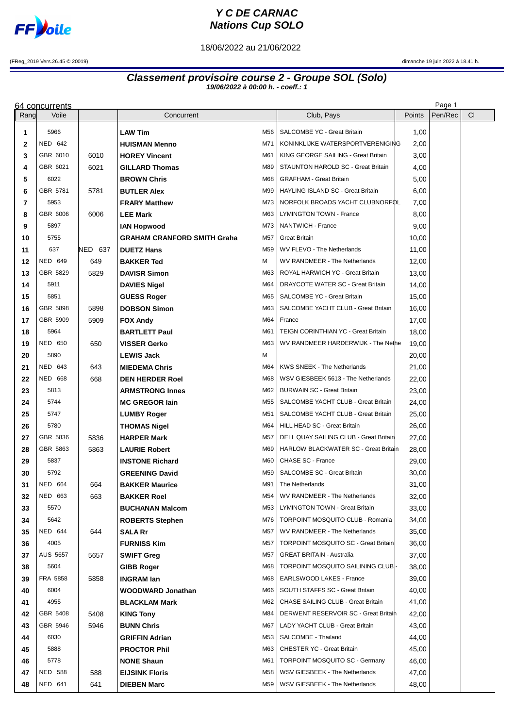

## **Y C DE CARNAC Nations Cup SOLO**

18/06/2022 au 21/06/2022

(FReg\_2019 Vers.26.45 © 20019) dimanche 19 juin 2022 à 18.41 h.

## **Classement provisoire course 2 - Groupe SOL (Solo) 19/06/2022 à 00:00 h. - coeff.: 1**

|              | Page 1<br>64 concurrents |              |                                       |            |                                                                           |                |         |    |  |  |
|--------------|--------------------------|--------------|---------------------------------------|------------|---------------------------------------------------------------------------|----------------|---------|----|--|--|
| Rang         | Voile                    |              | Concurrent                            |            | Club, Pays                                                                | Points         | Pen/Rec | CI |  |  |
| 1            | 5966                     |              | <b>LAW Tim</b>                        | M56        | SALCOMBE YC - Great Britain                                               | 1,00           |         |    |  |  |
| $\mathbf{2}$ | NED 642                  |              | <b>HUISMAN Menno</b>                  | M71        | KONINKLIJKE WATERSPORTVERENIGING                                          | 2,00           |         |    |  |  |
| 3            | GBR 6010                 | 6010         | <b>HOREY Vincent</b>                  | M61        | KING GEORGE SAILING - Great Britain                                       | 3,00           |         |    |  |  |
| 4            | GBR 6021                 | 6021         | <b>GILLARD Thomas</b>                 | M89        | STAUNTON HAROLD SC - Great Britain                                        | 4,00           |         |    |  |  |
| 5            | 6022                     |              | <b>BROWN Chris</b>                    | M68        | <b>GRAFHAM - Great Britain</b>                                            | 5,00           |         |    |  |  |
| 6            | GBR 5781                 | 5781         | <b>BUTLER Alex</b>                    | M99        | HAYLING ISLAND SC - Great Britain                                         | 6,00           |         |    |  |  |
| 7            | 5953                     |              | <b>FRARY Matthew</b>                  | M73        | NORFOLK BROADS YACHT CLUBNORFOL                                           | 7,00           |         |    |  |  |
| 8            | GBR 6006                 | 6006         | <b>LEE Mark</b>                       | M63        | LYMINGTON TOWN - France                                                   | 8,00           |         |    |  |  |
| 9            | 5897                     |              | <b>IAN Hopwood</b>                    | M73        | NANTWICH - France                                                         | 9,00           |         |    |  |  |
| 10           | 5755                     |              | <b>GRAHAM CRANFORD SMITH Graha</b>    | M57        | <b>Great Britain</b>                                                      | 10,00          |         |    |  |  |
| 11           | 637                      | NED 637      | <b>DUETZ Hans</b>                     | M59        | WV FLEVO - The Netherlands                                                | 11,00          |         |    |  |  |
| 12           | <b>NED 649</b>           | 649          | <b>BAKKER Ted</b>                     | м          | WV RANDMEER - The Netherlands                                             | 12,00          |         |    |  |  |
| 13           | GBR 5829                 | 5829         | <b>DAVISR Simon</b>                   | M63        | ROYAL HARWICH YC - Great Britain                                          | 13,00          |         |    |  |  |
| 14           | 5911                     |              | <b>DAVIES Nigel</b>                   | M64        | DRAYCOTE WATER SC - Great Britain                                         | 14,00          |         |    |  |  |
| 15           | 5851                     |              | <b>GUESS Roger</b>                    | M65        | SALCOMBE YC - Great Britain                                               | 15,00          |         |    |  |  |
| 16           | GBR 5898                 | 5898         | <b>DOBSON Simon</b>                   | M63        | SALCOMBE YACHT CLUB - Great Britain                                       | 16,00          |         |    |  |  |
| 17           | GBR 5909                 | 5909         | <b>FOX Andy</b>                       | M64        | France                                                                    | 17,00          |         |    |  |  |
| 18           | 5964<br><b>NED 650</b>   | 650          | <b>BARTLETT Paul</b>                  | M61<br>M63 | TEIGN CORINTHIAN YC - Great Britain<br>WV RANDMEER HARDERWIJK - The Nethe | 18,00          |         |    |  |  |
| 19<br>20     | 5890                     |              | VISSER Gerko<br><b>LEWIS Jack</b>     | м          |                                                                           | 19,00<br>20,00 |         |    |  |  |
| 21           | <b>NED 643</b>           | 643          | <b>MIEDEMA Chris</b>                  | M64        | <b>KWS SNEEK - The Netherlands</b>                                        | 21,00          |         |    |  |  |
| 22           | <b>NED 668</b>           | 668          | <b>DEN HERDER Roel</b>                | M68        | WSV GIESBEEK 5613 - The Netherlands                                       | 22,00          |         |    |  |  |
| 23           | 5813                     |              | <b>ARMSTRONG Innes</b>                | M62        | <b>BURWAIN SC - Great Britain</b>                                         | 23,00          |         |    |  |  |
| 24           | 5744                     |              | <b>MC GREGOR lain</b>                 | M55        | SALCOMBE YACHT CLUB - Great Britain                                       | 24,00          |         |    |  |  |
| 25           | 5747                     |              | <b>LUMBY Roger</b>                    | M51        | SALCOMBE YACHT CLUB - Great Britain                                       | 25,00          |         |    |  |  |
| 26           | 5780                     |              | <b>THOMAS Nigel</b>                   | M64        | HILL HEAD SC - Great Britain                                              | 26,00          |         |    |  |  |
| 27           | GBR 5836                 | 5836         | <b>HARPER Mark</b>                    | M57        | DELL QUAY SAILING CLUB - Great Britain                                    | 27,00          |         |    |  |  |
| 28           | GBR 5863                 | 5863         | <b>LAURIE Robert</b>                  | M69        | HARLOW BLACKWATER SC - Great Britain                                      | 28,00          |         |    |  |  |
| 29           | 5837                     |              | <b>INSTONE Richard</b>                | M60        | CHASE SC - France                                                         | 29,00          |         |    |  |  |
| 30           | 5792                     |              | <b>GREENING David</b>                 | M59        | <b>SALCOMBE SC - Great Britain</b>                                        | 30,00          |         |    |  |  |
| 31           | <b>NED 664</b>           | 664          | <b>BAKKER Maurice</b>                 | M91        | The Netherlands                                                           | 31,00          |         |    |  |  |
| 32           | NED 663                  | 663          | <b>BAKKER Roel</b>                    | M54        | WV RANDMEER - The Netherlands                                             | 32,00          |         |    |  |  |
| 33           | 5570                     |              | <b>BUCHANAN Malcom</b>                | M53        | LYMINGTON TOWN - Great Britain                                            | 33,00          |         |    |  |  |
| 34           | 5642                     |              | <b>ROBERTS Stephen</b>                | M76 I      | <b>TORPOINT MOSQUITO CLUB - Romania</b>                                   | 34,00          |         |    |  |  |
| 35           | NED 644                  | 644          | SALA Rr                               | M57        | WV RANDMEER - The Netherlands                                             | 35,00          |         |    |  |  |
| 36           | 4005                     |              | <b>FURNISS Kim</b>                    | M57        | <b>TORPOINT MOSQUITO SC - Great Britain</b>                               | 36,00          |         |    |  |  |
| 37           | AUS 5657                 | 5657         | <b>SWIFT Greg</b>                     | M57        | <b>GREAT BRITAIN - Australia</b>                                          | 37,00          |         |    |  |  |
| 38           | 5604                     |              | <b>GIBB Roger</b>                     | M68        | TORPOINT MOSQUITO SAILINING CLUB                                          | 38,00          |         |    |  |  |
| 39           | FRA 5858                 | 5858         | <b>INGRAM lan</b>                     | M68        | EARLSWOOD LAKES - France                                                  | 39,00          |         |    |  |  |
| 40           | 6004<br>4955             |              | <b>WOODWARD Jonathan</b>              | M66<br>M62 | SOUTH STAFFS SC - Great Britain<br>CHASE SAILING CLUB - Great Britain     | 40,00          |         |    |  |  |
| 41           | GBR 5408                 |              | <b>BLACKLAM Mark</b>                  | M84        | DERWENT RESERVOIR SC - Great Britain                                      | 41,00          |         |    |  |  |
| 42<br>43     | GBR 5946                 | 5408<br>5946 | <b>KING Tony</b><br><b>BUNN Chris</b> | M67        | LADY YACHT CLUB - Great Britain                                           | 42,00<br>43,00 |         |    |  |  |
| 44           | 6030                     |              | <b>GRIFFIN Adrian</b>                 | M53        | SALCOMBE - Thailand                                                       | 44,00          |         |    |  |  |
| 45           | 5888                     |              | <b>PROCTOR Phil</b>                   | M63        | CHESTER YC - Great Britain                                                | 45,00          |         |    |  |  |
| 46           | 5778                     |              | <b>NONE Shaun</b>                     | M61        | <b>TORPOINT MOSQUITO SC - Germany</b>                                     | 46,00          |         |    |  |  |
| 47           | NED 588                  | 588          | <b>EIJSINK Floris</b>                 | M58        | WSV GIESBEEK - The Netherlands                                            | 47,00          |         |    |  |  |
| 48           | NED 641                  | 641          | <b>DIEBEN Marc</b>                    | M59        | WSV GIESBEEK - The Netherlands                                            | 48,00          |         |    |  |  |
|              |                          |              |                                       |            |                                                                           |                |         |    |  |  |